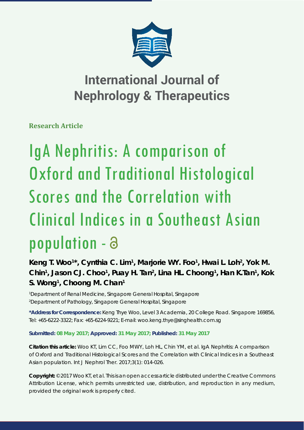

**Research Article**

# IgA Nephritis: A comparison of Oxford and Traditional Histological Scores and the Correlation with Clinical Indices in a Southeast Asian population -

### Keng T. Woo<sup>1\*</sup>, Cynthia C. Lim<sup>1</sup>, Marjorie WY. Foo<sup>1</sup>, Hwai L. Loh<sup>2</sup>, Yok M. Chin<sup>1</sup>, Jason CJ. Choo<sup>1</sup>, Puay H. Tan<sup>2</sup>, Lina HL. Choong<sup>1</sup>, Han K.Tan<sup>1</sup>, Kok **S. Wong1 , Choong M. Chan1**

*1 Department of Renal Medicine, Singapore General Hospital, Singapore 2 Department of Pathology, Singapore General Hospital, Singapore* 

**\*Address for Correspondence:** Keng Thye Woo, Level 3 Academia, 20 College Road. Singapore 169856, Tel: +65-6222-3322; Fax: +65-6224-9221; E-mail: woo.keng.thye@singhealth.com.sg

**Submitted: 08 May 2017; Approved: 31 May 2017; Published: 31 May 2017**

**Citation this article:** Woo KT, Lim CC, Foo MWY, Loh HL, Chin YM, et al. IgA Nephritis: A comparison of Oxford and Traditional Histological Scores and the Correlation with Clinical Indices in a Southeast Asian population. Int J Nephrol Ther. 2017;3(1): 014-026.

**Copyright:** © 2017 Woo KT, et al. This is an open access article distributed under the Creative Commons Attribution License, which permits unrestricted use, distribution, and reproduction in any medium, provided the original work is properly cited.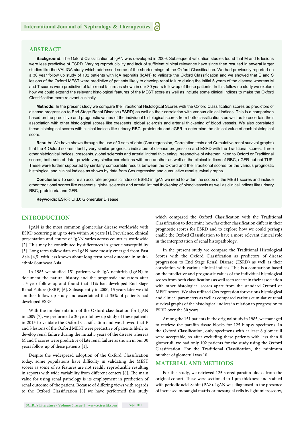#### **ABSTRACT**

Background: The Oxford Classification of IgAN was developed in 2009. Subsequent validation studies found that M and E lesions were less predictive of ESRD. Varying reproducibility and lack of sufficient clinical relevance have since then resulted in several larger studies like the VALIGA study which addressed some of the shortcomings of the Oxford Classification. We had previously reported on a 30 year follow up study of 102 patients with IgA nephritis (IgAN) to validate the Oxford Classification and we showed that E and S lesions of the Oxford MEST were predictive of patients likely to develop renal failure during the initial 5 years of the disease whereas M and T scores were predictive of late renal failure as shown in our 30 years follow up of these patients. In this follow up study we explore how we could expand the relevant histological features of the MEST score as well as include some clinical indices to make the Oxford Classification more relevant clinically.

Methods: In the present study we compare the Traditional Histological Scores with the Oxford Classification scores as predictors of disease progression to End Stage Renal Disease (ESRD) as well as their correlation with various clinical indices. This is a comparison based on the predictive and prognostic values of the individual histological scores from both classifications as well as to ascertain their association with other histological scores like crescents, global sclerosis and arterial thickening of blood vessels. We also correlated these histological scores with clinical indices like urinary RBC, proteinuria and eGFR to determine the clinical value of each histological score.

**Results:** We have shown through the use of 3 sets of data (Cox regression, Correlation tests and Cumulative renal survival graphs) that the 4 Oxford scores identify very similar prognostic indicators of disease progression and ESRD with the Traditional scores. Three other histological indices, crescents, global sclerosis and arterial intimal thickening, irrespective of whether linked to Oxford or Traditional scores, both sets of data, provide very similar correlations with one another as well as the clinical indices of RBC, eGFR but not TUP. These were further supported by similarly comparable results between the Oxford and the Traditional scores for the various prognostic histological and clinical indices as shown by data from Cox regression and cumulative renal survival graphs.

**Conclusion:** To secure an accurate prognostic index of ESRD in IgAN we need to widen the scope of the MEST scores and include other traditional scores like crescents, global sclerosis and arterial intimal thickening of blood vessels as well as clinical indices like urinary RBC, proteinuria and GFR.

**Keywords**: ESRF; CKD; Glomerular Disease

#### **INTRODUCTION**

IgAN is the most common glomerular disease worldwide with ESRD occurring in up to 44% within 30 years [1]. Prevalence, clinical presentation and course of IgAN varies across countries worldwide [2]. This may be contributed by differences in genetic susceptibility [3]. Long term follow data on IgAN have mostly emerged from East Asia [4,5] with less known about long term renal outcome in multiethnic Southeast Asia.

In 1985 we studied 151 patients with IgA nephritis (IgAN) to document the natural history and the prognostic indicators after a 5 year follow up and found that 11% had developed End Stage Renal Failure (ESRF) [6]. Subsequently in 2000, 15 years later we did another follow up study and ascertained that 35% of patients had developed ESRF.

With the implementation of the Oxford classification for IgAN in 2009 [7], we performed a 30 year follow up study of these patients in 2015 to validate the Oxford Classification and we showed that E and S lesions of the Oxford MEST were predictive of patients likely to develop renal failure during the initial 5 years of the disease whereas M and T scores were predictive of late renal failure as shown in our 30 years follow up of these patients [1].

Despite the widespread adoption of the Oxford Classification today, some populations have difficulty in validating the MEST scores as some of its features are not readily reproducible resulting in reports with wide variability from different centers [8]. The main value for using renal pathology is its employment in prediction of renal outcome of the patient. Because of differing views with regards to the Oxford Classification [8] we have performed this study

which compared the Oxford Classification with the Traditional Classification to determine how far either classification differs in their prognostic scores for ESRD and to explore how we could perhaps enable the Oxford Classification to have a more relevant clinical role in the interpretation of renal histopathology.

In the present study we compare the Traditional Histological Scores with the Oxford Classification as predictors of disease progression to End Stage Renal Disease (ESRD) as well as their correlation with various clinical indices. This is a comparison based on the predictive and prognostic values of the individual histological scores from both classifications as well as to ascertain their association with other histological scores apart from the standard Oxford or MEST scores. We also utilized Cox regression for various histological and clinical parameters as well as compared various cumulative renal survival graphs of the histological indices in relation to progression to ESRD over the 30 years.

Among the 151 patients in the original study in 1985, we managed to retrieve the paraffin tissue blocks for 125 biopsy specimens. In the Oxford Classification, only specimens with at least 8 glomeruli were acceptable, so after excluding these patients with less than 8 glomeruli, we had only 102 patients for the study using the Oxford Classification. For the Traditional Classification, the minimum number of glomeruli was 10.

#### **MATERIAL AND METHODS**

For this study, we retrieved 125 stored paraffin blocks from the original cohort. These were sectioned to 1 μm thickness and stained with periodic acid-Schiff (PAS). IgAN was diagnosed in the presence of increased mesangial matrix or mesangial cells by light microscopy,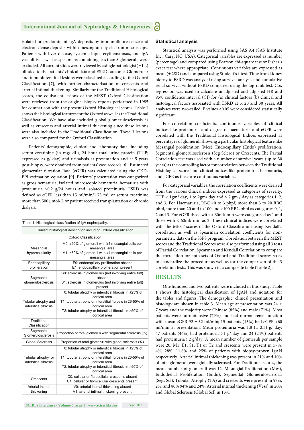isolated or predominant IgA deposits by immunofluorescence and electron-dense deposits within mesangium by electron microscopy. Patients with liver disease, systemic lupus erythematosus, and IgA vasculitis, as well as specimens containing less than 8 glomeruli, were excluded. All current slides were reviewed by a single pathologist (HLL) blinded to the patients' clinical data and ESRD outcome. Glomerular and tubulointerstitial lesions were classified according to the Oxford Classification [7], with further characterisation of crescents and arterial intimal thickening. Similarly for the Traditional Histological scores, the equivalent lesions of the MEST Oxford Classification were retrieved from the original biopsy reports performed in 1985 for comparison with the present Oxford Histological scores. Table 1 shows the histological features for the Oxford as well as the Traditional Classification. We have also included global glomerulosclerosis as well as crescents and arterial intimal thickening since these lesions were also included in the Traditional Classification. These 3 lesions were also compared for the Oxford Classification.

Patients' demographic, clinical and laboratory data, including serum creatinine (in mg/ dL), 24 hour total urine protein (TUP; expressed as g/ day) and urinalysis at presentation and at 5 years post-biopsy, were obtained from patients' case records [6]. Estimated glomerular filtration Rate (eGFR) was calculated using the CKD-EPI estimation equation [9]. Patients' presentation was categorized as gross hematuria, isolated microscopic hematuria, hematuria with proteinuria >0.2 g/24 hours and isolated proteinuria. ESRD was defined as eGFR less than 15 ml/min/1.73 m<sup>2</sup>, or serum creatinine more than 500 μmol/ L or patient received transplantation or chronic dialysis.

|                                              | Table 1: Histological classification of IgA nephropathy.                                                                                                                                                                           |  |  |  |  |  |  |  |
|----------------------------------------------|------------------------------------------------------------------------------------------------------------------------------------------------------------------------------------------------------------------------------------|--|--|--|--|--|--|--|
|                                              | Current histological description including Oxford classification                                                                                                                                                                   |  |  |  |  |  |  |  |
|                                              | Oxford Classification                                                                                                                                                                                                              |  |  |  |  |  |  |  |
| Mesangial<br>hypercellularity                | M0: ≤50% of glomeruli with ≥4 mesangial cells per<br>mesangial area<br>M1: >50% of glomeruli with ≥4 mesangial cells per<br>mesangial area                                                                                         |  |  |  |  |  |  |  |
| Endocapillary<br>proliferation               | E0: endocapillary proliferation absent<br>E1: endocapillary proliferation present                                                                                                                                                  |  |  |  |  |  |  |  |
| Segmental<br>glomerulosclerosis              | S0: sclerosis in glomerulus (not involving entire tuft)<br>absent<br>S1: sclerosis in glomerulus (not involving entire tuft)<br>present                                                                                            |  |  |  |  |  |  |  |
| Tubular atrophy and<br>interstitial fibrosis | T0: tubular atrophy or interstitial fibrosis in ≤25% of<br>cortical area<br>T1: tubular atrophy or interstitial fibrosis in 26-50% of<br>cortical area<br>T2: tubular atrophy or interstitial fibrosis in >50% of<br>cortical area |  |  |  |  |  |  |  |
| Traditional<br>Classification                |                                                                                                                                                                                                                                    |  |  |  |  |  |  |  |
| Segmental<br>Glomerulosclerosis              | Proportion of total glomeruli with segmental sclerosis (%)                                                                                                                                                                         |  |  |  |  |  |  |  |
| <b>Global Sclerosis</b>                      | Proportion of total glomeruli with global sclerosis (%)                                                                                                                                                                            |  |  |  |  |  |  |  |
| Tubular atrophy or<br>interstitial fibrosis  | T0: tubular atrophy or interstitial fibrosis in ≤25% of<br>cortical area<br>T1: tubular atrophy or interstitial fibrosis in 26-50% of<br>cortical area<br>T2: tubular atrophy or interstitial fibrosis in >50% of<br>cortical area |  |  |  |  |  |  |  |
| Crescents                                    | C0: cellular or fibrocellular crescents absent<br>C1: cellular or fibrocellular crescents present                                                                                                                                  |  |  |  |  |  |  |  |
| Arterial intimal<br>thickening               | V0: arterial intimal thickening absent<br>V1: arterial intimal thickening present                                                                                                                                                  |  |  |  |  |  |  |  |

#### **Statistical analysis**

Statistical analysis was performed using SAS 9.4 (SAS Institute Inc., Cary, NC, USA). Categorical variables are expressed as number (percentage) and compared using Pearson chi-square test or Fisher's exact test where appropriate. Continuous variables are expressed as mean  $(\pm 2SD)$  and compared using Student's t-test. Time from kidney biopsy to ESRD was analyzed using survival analysis and cumulative renal survival without ESRD compared using the log-rank test. Cox regression was used to calculate unadjusted and adjusted HR and 95% confidence interval (CI) for (a) clinical factors (b) clinical and histological factors associated with ESRD at 5, 20 and 30 years. All analyses were two-tailed. P values <0.05 were considered statistically significant.

For correlation coefficients, continuous variables of clinical indices like proteinuria and degree of haematuria and eGFR were correlated with the Traditional Histological Indices expressed as percentages of glomeruli showing a particular histological feature like Mesangial proliferation (Mes), Endocapillary (Endo) proliferation, Segmental glomerulosclerosis (Seg Sclero) or Crescents. The Partial Correlation test was used with a number of survival years (up to 30 years) as the controlling factor for correlation between the Traditional Histological scores and clinical indices like proteinuria, haematuria, and eGFR as these are continuous variables.

For categorical variables, the correlation coefficients were derived from the various clinical indices expressed as categories of severity: TUP < 1gm/ day, 1 to 2gm/ day and > 2 gm / day as categories 1, 2, and 3. For Haematuria, RBC <0 to 3 phpf, more than 3 to 20 RBC phpf, more than 20 and to 100 and >100 RBC phpf as categories 0, 1, 2 and 3. For eGFR those with > 60ml/ min were categorised as 1 and those with  $<$  60ml/ min as 2. These clinical indices were correlated with the MEST scores of the Oxford Classification using Kendall's correlation as well as Spearman correlation coefficients for nonparametric data on the SSPS program. Correlation between the MEST scores and the Traditional Scores were also performed using all 3 tests of Partial Correlation, Spearman and Kendall Correlation to compare the correlation for both sets of Oxford and Traditional scores so as to standardize the procedure as well as for the comparison of the 3 correlation tests. This was shown in a composite table (Table 2).

#### **RESULTS**

One hundred and two patients were included in this study. Table 1 shows the histological classification of IgAN and notation for the tables and figures. The demographic, clinical presentation and histology are shown in table 3. Mean age at presentation was 24 ± 7 years and the majority were Chinese (85%) and male (71%). Most patients were normotensive (79%) and had normal renal function with mean eGFR 92  $\pm$  32 ml/min; 15 patients (15%) had eGFR <60 ml/min at presentation. Mean proteinuria was 1.8 ( $\pm$  2.3) g/ day: 47 patients (46%) had proteinuria >1 g/ day and 24 (24%) patients had proteinuria >2 g/day. A mean number of glomeruli per sample were 20. M1, E1, S1, T1 or T2 and crescents were present in 57%, 4%, 28%, 11.8% and 25% of patients with biopsy-proven IgAN respectively. Arterial intimal thickening was present in 21% and 10% of total glomeruli were globally sclerosed. For Traditional scores, the mean number of glomeruli was 12. Mesangial Proliferation (Mes), Endothelial Proliferation (Endo), Segmental Glomerulosclerosis (Segs Scl), Tubular Atrophy (TA) and crescents were present in 97%, 2%, and 80% 94% and 24%. Arterial intimal thickening (Vess) in 20% and Global Sclerosis (Global Scl) in 13%.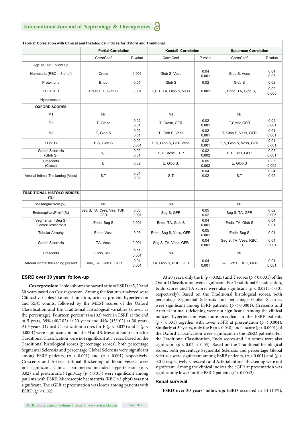| Table 2: Correlation with Clinical and Histological indices for Oxford and Traditional. |                                          |               |                         |               |                                     |               |  |  |
|-----------------------------------------------------------------------------------------|------------------------------------------|---------------|-------------------------|---------------|-------------------------------------|---------------|--|--|
|                                                                                         | <b>Partial Correlation</b>               |               | Kendall Correlation     |               | <b>Spearman Correlation</b>         |               |  |  |
|                                                                                         | CorreCoef<br>P value                     |               | CorreCoef               | P value       | CorreCoef                           | P value       |  |  |
| Age at Last Follow Up                                                                   |                                          |               |                         |               |                                     |               |  |  |
| Hematuria (RBC > 3 phpf)                                                                | Cresc                                    | 0.001         | Glob S, Vess            | 0.04<br>0.001 | Glob S, Vess                        | 0.04<br>0.05  |  |  |
| Proteinuria                                                                             | Endo                                     | 0.01          | Glob S                  | 0.02          | Glob S                              | 0.02          |  |  |
| EPI eGFR                                                                                | Cresc, E, T, Glob S                      | 0.001         | E,S,T, TA, Glob S, Vess | 0.001         | T, Endo, TA, Glob S,                | 0.02<br>0.005 |  |  |
| Hypertension                                                                            |                                          |               |                         |               |                                     |               |  |  |
| <b>OXFORD SCORES</b>                                                                    |                                          |               |                         |               |                                     |               |  |  |
| M <sub>1</sub>                                                                          | Nil                                      |               | Nil                     |               |                                     |               |  |  |
| E1                                                                                      | T. Cresc                                 | 0.02<br>0.01  | T. Cresc. GFR           | 0.02<br>0.001 | T,Cresc,GFR                         | 0.02<br>0.001 |  |  |
| S <sub>1</sub>                                                                          | T, Glob S                                | 0.02<br>0.01  | T, Glob S, Vess         | 0.02<br>0.001 | T, Glob S, Vess, GFR                | 0.01<br>0.001 |  |  |
| T1 or T2                                                                                | E.S. Glob S                              | 0.02<br>0.001 | E.S. Glob S. GFR, Vess  | 0.02<br>0.001 | E.S. Glob S. Vess, GFR              | 0.01<br>0.001 |  |  |
| <b>Global Sclerosis</b><br>(Glob S)                                                     | S,T                                      | 0.02<br>0.01  | S,T, Cresc, TUP         | 0.02<br>0.002 | E,T, Cres, GFR                      | 0.05<br>0.001 |  |  |
| Crescents<br>(Cresc)                                                                    | E                                        | 0.02          | E, Glob S,              | 0.05<br>0.002 | E, Glob S                           | 0.05<br>0.002 |  |  |
| Arterial Intimal Thickening (Vess)                                                      | S,T                                      | 0.04<br>0.02  | S,T                     | 0.04<br>0.02  | S,T                                 | 0.04<br>0.02  |  |  |
| <b>TRADITIONAL HISTOLO INDICES</b><br>(%)                                               |                                          |               |                         |               |                                     |               |  |  |
| MesangialProlif (%)                                                                     | Nil                                      |               | Nil                     |               | Nil                                 |               |  |  |
| EndocapillaryProlif (%)                                                                 | Seg S, TA, Cres, Ves, TUP,<br><b>GFR</b> | 0.05<br>0.001 | Seg S, GFR              | 0.05<br>0.02  | Seg S, TA, GFR                      | 0.02<br>0.005 |  |  |
| Segmental (Seg S)<br>Glomerulosclerosis                                                 | Endo, Seg S                              | 0.001         | Endo, TA, Glob S        | 0.04<br>0.001 | Endo, TA, Glob S                    | 0.04<br>0.01  |  |  |
| <b>Tubular Atrophy</b>                                                                  | Endo, Vess                               | 0.03          | Endo, Seg S, Vess, GFR  | 0.05<br>0.001 | Endo, Seq S                         | 0.01          |  |  |
| <b>Global Sclerosis</b>                                                                 | TA, Vess                                 | 0.001         | Seg S, TA, Vess, GFR    | 0.04<br>0.001 | Seg S, TA, Vess, RBC,<br><b>GFR</b> | 0.04<br>0.001 |  |  |
| Crescents                                                                               | Endo, RBC                                | 0.03<br>0.001 | Nil                     |               | Nil                                 |               |  |  |
| Arterial intimal thickening present                                                     | Endo, TA, Glob S, GFR                    | 0.04<br>0.001 | TA, Glob S, RBC, GFR    | 0.04<br>0.001 | TA, Glob S, RBC, GFR                | 0.01<br>0.001 |  |  |

#### **Table 2: Correlation with Clinical and Histological indices for Oxford and Traditional.**

#### **ESRD over 30 years' follow-up**

**Cox regression:** Table 4 shows the hazard ratio of ESRD at 5, 20 and 30 years based on Cox regression. Among the features analyzed were Clinical variables like renal function, urinary protein, hypertension and RBC counts, followed by the MEST scores of the Oxford Classification and the Traditional Histological variables (shown as the percentage). Fourteen percent (14/102) were in ESRF at the end of 5 years, 39% (40/102) at 20 years and 44% (45/102) at 30 years. At 5 years, Oxford Classification scores for E ( $p < 0.037$ ) and T ( $p <$ 0.0001) were significant, but not the M and S. Mes and Endo scores for Traditional Classification were not significant at 5 years. Based on the Traditional histological scores (percentage scores), both percentage Segmental Sclerosis and percentage Global Sclerosis were significant among ESRF patients,  $(p < 0.001)$  and  $(p < 0.001)$  respectively. Crescents and Arterial intimal thickening of blood vessels were not significant. Clinical parameters included hypertension ( $p <$ 0.02) and proteinuria >1gm/day ( $p < 0.01$ )) were significant among patients with ESRF. Microscopic haematuria (RBC >3 phpf) was not significant. The eGFR at presentation was lower among patients with ESRD. (*p* < 0.02).

At 20 years, only the E (*p* < 0.025) and T scores (*p* < 0.0001) of the Oxford Classification were significant. For Traditional Classification, Endo scores and TA scores were also significant ( $p < 0.021$ ,  $< 0.01$ ) respectively). Based on the Traditional histological scores, both percentage Segmental Sclerosis and percentage Global Sclerosis were significant among ESRF patients,  $(p < 0.0001)$ . Crescents and Arterial intimal thickening were not significant. Among the clinical indices, hypertension was more prevalent in the ESRF patients ( $p < 0.031$ ) together with lower eGFR at presentation ( $p < 0.004$ ). Similarly at 30 years, only the E ( $p < 0.048$ ) and T score ( $p < 0.0001$ ) of the Oxford Classification were significant in the ESRD patients. For the Traditional Classification, Endo scores and TA scores were also significant ( $p < 0.02, < 0.03$ ). Based on the Traditional histological scores, both percentage Segmental Sclerosis and percentage Global Sclerosis were significant among ESRF patients, ( $p < 0.001$ ) and ( $p <$ 0.01) respectively. Crescents and Arterial intimal thickening were not significant. Among the clinical indices the eGFR at presentation was significantly lower for the ESRD patients  $(P < 0.0042)$ .

#### **Renal survival**

**ESRD over 30 years' follow-up:** ESRD occurred in 14 (14%),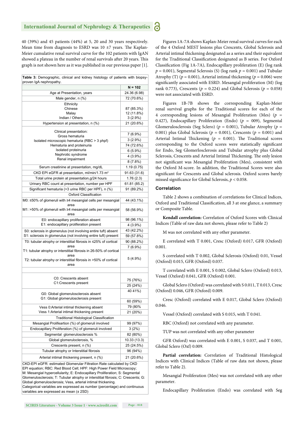40 (39%) and 45 patients (44%) at 5, 20 and 30 years respectively. Mean time from diagnosis to ESRD was 10  $\pm$ 7 years. The Kaplan-Meier cumulative renal survival curve for the 102 patients with IgAN showed a plateau in the number of renal survivals after 20 years. This graph is not shown here as it was published in our previous paper [1].

**Table 3:** Demographic, clinical and kidney histology of patients with biopsyproven IgA nephropathy.

|                                                                                                                                                                                                                                                                                                                  | $N = 102$    |  |  |
|------------------------------------------------------------------------------------------------------------------------------------------------------------------------------------------------------------------------------------------------------------------------------------------------------------------|--------------|--|--|
| Age at Presentation, years                                                                                                                                                                                                                                                                                       | 24.36 (6.98) |  |  |
| Male gender, n (%)                                                                                                                                                                                                                                                                                               | 72 (70.6%)   |  |  |
| Ethnicity                                                                                                                                                                                                                                                                                                        |              |  |  |
| Chinese                                                                                                                                                                                                                                                                                                          | 87 (85.3%)   |  |  |
| Malay                                                                                                                                                                                                                                                                                                            | 12 (11.8%)   |  |  |
| Indian / Others                                                                                                                                                                                                                                                                                                  | $3(2.9\%)$   |  |  |
| Hypertension at presentation, n (%)                                                                                                                                                                                                                                                                              | 21 (20.6%)   |  |  |
| Clinical presentation:                                                                                                                                                                                                                                                                                           |              |  |  |
| Gross hematuria                                                                                                                                                                                                                                                                                                  | 7 (6.9%)     |  |  |
| Isolated microscopic hematuria (RBC > 3 phpf)                                                                                                                                                                                                                                                                    | $3(2.9\%)$   |  |  |
| Hematuria and proteinuria<br>Isolated proteinuria                                                                                                                                                                                                                                                                | 74 (72.6%)   |  |  |
| Nephrotic syndrome                                                                                                                                                                                                                                                                                               | $6(5.9\%)$   |  |  |
| Renal impairment                                                                                                                                                                                                                                                                                                 | 4 (3.9%)     |  |  |
|                                                                                                                                                                                                                                                                                                                  | 8 (7.8%)     |  |  |
| Serum creatinine at presentation, mg/dL                                                                                                                                                                                                                                                                          | 1.19 (0.75)  |  |  |
| CKD EPI eGFR at presentation, ml/min/1.73 m <sup>2</sup>                                                                                                                                                                                                                                                         | 91.63 (31.6) |  |  |
| Total urine protein at presentation, g/24 hours                                                                                                                                                                                                                                                                  | 1.76(2.3)    |  |  |
| Urinary RBC count at presentation, number per HPF                                                                                                                                                                                                                                                                | 61.81 (85.2) |  |  |
| Significant hematuria (>3 urine RBC per HPF), n (%)                                                                                                                                                                                                                                                              | 91 (89.2%)   |  |  |
| Oxford Classification                                                                                                                                                                                                                                                                                            |              |  |  |
| M0: ≤50% of glomeruli with ≥4 mesangial cells per mesangial                                                                                                                                                                                                                                                      | 44 (43.1%)   |  |  |
| area<br>M1: >50% of glomeruli with ≥4 mesangial cells per mesangial                                                                                                                                                                                                                                              | 58 (56.9%)   |  |  |
| area                                                                                                                                                                                                                                                                                                             |              |  |  |
| E0: endocapillary proliferation absent<br>E1: endocapillary proliferation present                                                                                                                                                                                                                                | 98 (96.1%)   |  |  |
|                                                                                                                                                                                                                                                                                                                  | 4 (3.9%)     |  |  |
| S0: sclerosis in glomerulus (not involving entire tuft) absent<br>S1: sclerosis in glomerulus (not involving entire tuft) present                                                                                                                                                                                | 43 (42.2%)   |  |  |
|                                                                                                                                                                                                                                                                                                                  | 59 (57.8%)   |  |  |
| T0: tubular atrophy or interstitial fibrosis in ≤25% of cortical<br>area                                                                                                                                                                                                                                         | 90 (88.2%)   |  |  |
| T1: tubular atrophy or interstitial fibrosis in 26-50% of cortical                                                                                                                                                                                                                                               | 7 (6.9%)     |  |  |
| area<br>T2: tubular atrophy or interstitial fibrosis in >50% of cortical                                                                                                                                                                                                                                         | $5(4.9\%)$   |  |  |
| area                                                                                                                                                                                                                                                                                                             |              |  |  |
|                                                                                                                                                                                                                                                                                                                  |              |  |  |
| C0: Crescents absent                                                                                                                                                                                                                                                                                             | 75 (76%)     |  |  |
| C1:Crescents present                                                                                                                                                                                                                                                                                             | 25 (24%)     |  |  |
| G0: Global glomerulosclerosis absent                                                                                                                                                                                                                                                                             | 40 41%)      |  |  |
| G1: Global glomerulosclerosis present                                                                                                                                                                                                                                                                            | 60 (59%)     |  |  |
| Vess 0: Arterial intimal thickening absent                                                                                                                                                                                                                                                                       | 79 (80%      |  |  |
| Vess 1: Arterial intimal thickening present                                                                                                                                                                                                                                                                      | 21 (20%)     |  |  |
| <b>Traditional Histological Classification</b>                                                                                                                                                                                                                                                                   |              |  |  |
| Mesangial Prolifeartion (%) of glomeruli involved                                                                                                                                                                                                                                                                | 99 (97%)     |  |  |
| Endocapillary Proliferation (%) of glomeruli involved                                                                                                                                                                                                                                                            | $3(2\%)$     |  |  |
| Segmental glomerulosclerosis %                                                                                                                                                                                                                                                                                   | 82 (80%)     |  |  |
| Global glomeruloclerosis, %                                                                                                                                                                                                                                                                                      | 10.33 (13.3) |  |  |
| Crescents present, n (%)                                                                                                                                                                                                                                                                                         | 25 (24.5%)   |  |  |
| Tubular atrophy or Interstitial fibrosis                                                                                                                                                                                                                                                                         | 96 (94%)     |  |  |
| Arterial intimal thickening present, n (%)                                                                                                                                                                                                                                                                       | 21 (20.6%)   |  |  |
| CKD-EPI eGFR: estimated Glomerular Filtration Rate calculated by CKD<br>EPI equation; RBC: Red Blood Cell; HPF: High Power Field Microscopy;<br>M: Mesangial hypercellularity; E: Endocapillary Proliferation; S: Segmental<br>Glomerulosclerosis; T: Tubular atrophy or interstitial fibrosis; C: Crescents; G: |              |  |  |

Global glomerulosclerosis; Vess, arterial intimal thickening. Categorical variables are expressed as number (percentage) and continuous variables are expressed as mean (± 2SD)

Figures 1A-7A shows Kaplan-Meier renal survival curves for each of the 4 Oxford MEST lesions plus Crescents, Global Sclerosis and Arterial intimal thickening designated as a series and their equivalent for the Traditional Classification designated as B series. For Oxford Classification (Fig 1A-7A), Endocapillary proliferation (E) (log rank  $p = 0.001$ ), Segmental Sclerosis (S) (log rank  $p = 0.001$ ) and Tubular Atrophy (T) ( $p = 0.001$ ), Arterial intimal thickening ( $p = 0.006$ ) were significantly associated with ESRD. Mesangial proliferation (M) (log rank 0.773), Crescents ( $p = 0.224$ ) and Global Sclerosis ( $p = 0.058$ ) were not associated with ESRD.

Figures 1B-7B shows the corresponding Kaplan-Meier renal survival graphs for the Traditional scores for each of the 4 corresponding lesions of Mesangial Proliferation (Mes) (*p* = 0.427), Endocapillary Proliferation (Endo) (*p* = 009), Segmental Glomerulosclerosis (Seg Sclero) (*p* = 0.001), Tubular Atrophy (*p* = 0.001) plus Global Sclerosis ( $p = 0.001$ ), Crescents ( $p = 0.001$ ) and Arterial Intimal Thickening ( $p = 0.001$ ). The Traditional scores corresponding to the Oxford scores were statistically significant for Endo, Seg Glomerlosclerosis and Tubular atrophy plus Global Sclerosis, Crescents and Arterial Intimal Thickening. The only lesion not significant was Mesangial Proliferation (Mes), consistent with the Oxford M-score. In addition, the Traditional Scores were also significant for Crescents and Global sclerosis. Oxford scores barely missed significance for Global Sclerosis,  $p < 0.058$ .

#### **Correlation**

Table 2 shows a combination of correlations for Clinical Indices, Oxford and Traditional Classification, all 3 at one glance, a summary or Composite Table.

**Kendall correlation:** Correlation of Oxford Scores with Clinical Indices (Table of raw data not shown, please refer to Table 2)

M was not correlated with any other parameter.

E correlated with T 0.001, Cresc (Oxford) 0.017, GFR (Oxford) 0.001.

S correlated with T 0.002, Global Sclerosis (Oxford) 0.01, Vessel (Oxford) 0.015, GFR (Oxford) 0.037.

T correlated with E 0.001, S 0.002, Global Sclero (Oxford) 0.013, Vessel (Oxford) 0.041, GFR (Oxford) 0.001.

Global Sclero (Oxford) was correlated with S 0.011, T 0.013, Cresc (Oxford) 0.046, GFR (Oxford) 0.009.

Cresc (Oxford) correlated with E 0.017, Global Sclero (Oxford) 0.046.

Vessel (Oxford) correlated with S 0.015, with T 0.041.

RBC (Oxford) not correlated with any parameter.

TUP was not correlated with any other parameter

GFR Oxford) was correlated with E 0.001, S 0.037, and T 0.001, Global Sclero (Oxf) 0.009.

**Partial correlation:** Correlation of Traditional Histological Indices with Clinical Indices (Table of raw data not shown, please refer to Table 2).

Mesangial Proliferation (Mes) was not correlated with any other parameter.

Endocapillary Proliferation (Endo) was correlated with Seg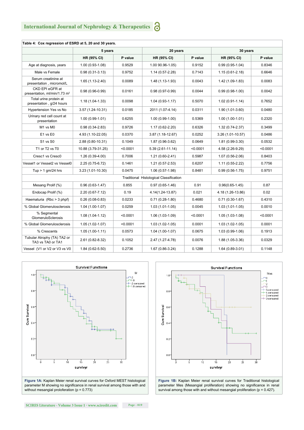| Table 4: Cox regression of ESRD at 5, 20 and 30 years.      |                     |          |                                         |          |                     |          |  |  |  |  |
|-------------------------------------------------------------|---------------------|----------|-----------------------------------------|----------|---------------------|----------|--|--|--|--|
|                                                             | 5 years             |          | 20 years                                |          | 30 years            |          |  |  |  |  |
|                                                             | HR (95% CI)         | P value  | <b>HR (95% CI)</b>                      | P value  | HR (95% CI)         | P value  |  |  |  |  |
| Age at diagnosis, years                                     | $1.00(0.93-1.08)$   | 0.9529   | 1.00 90.96-1.05)                        | 0.9152   | $0.99(0.95-1.04)$   | 0.8346   |  |  |  |  |
| Male vs Female                                              | $0.98(0.31-3.13)$   | 0.9752   | 1.14 (0.57-2.28)                        | 0.7143   | $1.15(0.61 - 2.18)$ | 0.6646   |  |  |  |  |
| Serum creatinine at<br>presentation, micromol/L             | $1.65(1.13-2.40)$   | 0.0089   | 1.48 (1.13-1.93)                        | 0.0043   | 1.42 (1.09-1.83)    | 0.0083   |  |  |  |  |
| CKD EPI eGFR at<br>presentation, ml/min/1.73 m <sup>2</sup> | $0.98(0.96-0.99)$   | 0.0161   | $0.98(0.97-0.99)$                       | 0.0044   | $0.99(0.98-1.00)$   | 0.0042   |  |  |  |  |
| Total urine protein at<br>presentation, g/24 hours          | $1.18(1.04-1.33)$   | 0.0098   | $1.04(0.93-1.17)$                       | 0.5070   | $1.02(0.91-1.14)$   | 0.7652   |  |  |  |  |
| <b>Hypertension Yes vs No</b>                               | 3.57 (1.24-10.31)   | 0.0185   | 2011 (1.07-4.14)                        | 0.0311   | 1.90 (1.01-3.60)    | 0.0480   |  |  |  |  |
| Urinary red cell count at<br>presentation                   | $1.00(0.99 - 1.01)$ | 0.6255   | $1.00(0.99-1.00)$                       | 0.5369   | $1.00(1.00-1.01)$   | 0.2320   |  |  |  |  |
| M1 vs M0                                                    | $0.98(0.34 - 2.83)$ | 0.9726   | 1.17 (0.62-2.20)                        | 0.6326   | 1.32 (0.74-2.37)    | 0.3499   |  |  |  |  |
| E1 vs E0                                                    | 4.93 (1.10-22.05)   | 0.0370   | $3.87(1.18-12.67)$                      | 0.0252   | $3.26(1.01-10.57)$  | 0.0486   |  |  |  |  |
| S1 vs S0                                                    | 2.88 (0.80-10.31)   | 0.1049   | 1.87 (0.96-3.62)                        | 0.0649   | 1.81 (0.99-3.30)    | 0.0532   |  |  |  |  |
| T1 or T2 vs T0                                              | 10.88 (3.79-31.25)  | < 0.0001 | $5.39(2.61 - 11.14)$                    | < 0.0001 | 4.58 (2.26-9.29)    | < 0.0001 |  |  |  |  |
| Cresc1 vs Cresc0                                            | $1.26(0.39-4.00)$   | 0.7006   | 1.21 (0.60-2.41)                        | 0.5987   | $1.07(0.56-2.06)$   | 0.8403   |  |  |  |  |
| Vessel1 or Vessel2 vs Vessel0                               | 2.25 (0.75-6.72)    | 0.1461   | $1.21(0.57 - 2.53)$                     | 0.6207   | $1.11(0.55 - 2.22)$ | 0.7756   |  |  |  |  |
| Tup $> 1$ gm/24 hrs                                         | 3.23 (1.01-10.30)   | 0.0475   | 1.06 (0.57-1.98)                        | 0.8481   | $0.99(0.56-1.75)$   | 0.9751   |  |  |  |  |
|                                                             |                     |          | Traditional Histological Classification |          |                     |          |  |  |  |  |
| Mesang Prolif (%)                                           | $0.96(0.63 - 1.47)$ | 0.855    | $0.97(0.65-1.46)$                       | 0.91     | $0.96(0.65 - 1.45)$ | 0.87     |  |  |  |  |
| Endocap Prolif (%)                                          | 2.20 (0.67-7.12)    | 0.19     | 4.14(1.24-13.87)                        | 0.021    | 4.18 (1.26-13.86)   | 0.02     |  |  |  |  |
| Haematuria (Rbc > 3 phpf)                                   | $0.26(0.08-0.83)$   | 0.0233   | $0.71(0.28-1.80)$                       | 0.4680   | $0.71(0.30-1.67)$   | 0.4310   |  |  |  |  |
| % Global Glomerulosclerosis                                 | $1.04(1.00-1.07)$   | 0.0259   | 1.03 (1.01-1.05)                        | 0.0045   | $1.03(1.01-1.05)$   | 0.0010   |  |  |  |  |
| % Segmental<br><b>GlomeruloSclerosis</b>                    | $1.08(1.04-1.12)$   | < 0.0001 | 1.06 (1.03-1.09)                        | < 0.0001 | $1.05(1.03-1.08)$   | < 0.0001 |  |  |  |  |
| % Global Glomerulosclerosis                                 | $1.05(1.02-1.07)$   | < 0.0001 | $1.03(1.02-1.05)$                       | 0.0001   | $1.03(1.02-1.05)$   | 0.0001   |  |  |  |  |
| % Crescents                                                 | $1.05(1.00-1.11)$   | 0.0573   | $1.04(1.00-1.07)$                       | 0.0675   | 1.03 (0.99-1.06)    | 0.1913   |  |  |  |  |
| Tubular Atrophy (TA) TA2 or<br>TA3 vs TA0 or TA1            | 2.61 (0.82-8.32)    | 0.1052   | 2.47 (1.27-4.78)                        | 0.0076   | 1.88 (1.05-3.36)    | 0.0329   |  |  |  |  |
| Vessel (V1 or V2 or V3 vs V0                                | $1.84(0.62 - 5.50)$ | 0.2736   | 1.67 (0.86-3.24)                        | 0.1288   | $1.64(0.89-3.01)$   | 0.1148   |  |  |  |  |



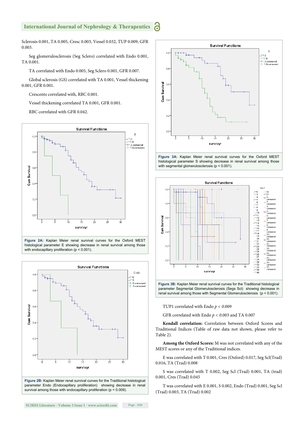Sclerosis 0.001, TA 0.005, Cresc 0.003, Vessel 0.032, TUP 0.009, GFR 0.003.

Seg glomerulosclerosis (Seg Sclero) correlated with Endo 0.001, TA 0.001.

TA correlated with Endo 0.005, Seg Sclero 0.001, GFR 0.007.

Global sclerosis (GS) correlated with TA 0.001, Vessel thickening 0.001, GFR 0.001.

Crescents correlated with, RBC 0.001.

Vessel thickening correlated TA 0.001, GFR 0.001.

RBC correlated with GFR 0.042.



**Figure 2A:** Kaplan Meier renal survival curves for the Oxford MEST histological parameter E showing decrease in renal survival among those with endocapillary proliferation (p < 0.001).



survival among those with endocapillary proliferation (p < 0.009).







parameter Segmental Glomerulosclerosis (Segs Scl) showing decrease in renal survival among those with Segmental Glomerulosclerosis (p < 0.001).

TUP1 correlated with Endo *p < 0*.009

GFR correlated with Endo *p < 0*.003 and TA 0.007

**Kendall correlation:** Correlation between Oxford Scores and Traditional Indices (Table of raw data not shown, please refer to Table 2).

**Among the Oxford Scores:** M was not correlated with any of the MEST scores or any of the Traditional indices.

E was correlated with T 0.001, Cres (Oxford) 0.017, Seg Scl(Trad) 0.016, TA (Trad) 0.008

S was correlated with T 0.002, Seg Scl (Trad) 0.001, TA (trad) 0.001, Cres (Trad) 0.045

T was correlated with E 0.001, S 0.002, Endo (Trad) 0.001, Seg Scl (Trad) 0.003, TA (Trad) 0.002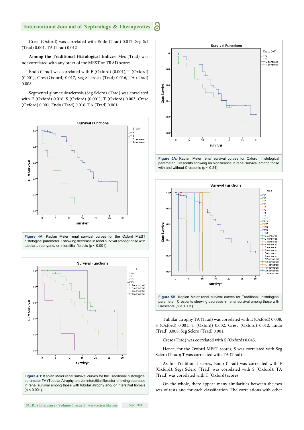Cresc (Oxford) was correlated with Endo (Trad) 0.017, Seg Scl (Trad) 0.001, TA (Trad) 0.012

**Among the Traditional Histological Indices**: Mes (Trad) was not correlated with any other of the MEST or TRAD scores.

Endo (Trad) was correlated with E (Oxford) (0.001), T (Oxford) (0.001), Cres (Oxford) 0.017, Seg Sclerosis (Trad) 0.016, TA (Trad) 0.008.

Segmental glomerulosclerosis (Seg Sclero) (Trad) was correlated with E (Oxford) 0.016, S (Oxford) (0.001), T (Oxford) 0.003, Cresc (Oxford) 0.001, Endo (Trad) 0.016, TA (Trad) 0.001.



tubular atrophyand/ or interstitial fibrosis ( $p < 0.001$ ).



**Figure 4B:** Kaplan Meier renal survival curves for the Traditional histological parameter TA (Tubular Atrophy and /or interstitial fibrosis) showing decrease in renal survival among those with tubular atrophy and/ or interstitial fibrosis  $(p < 0.001)$ .







Tubular atrophy TA (Trad) was correlated with E (Oxford) 0.008, S (Oxford) 0.001, T (Oxford) 0.002, Cresc (Oxford) 0.012, Endo (Trad) 0.008, Seg Sclero (Trad) 0.001.

Cresc (Trad) was correlated with S (Oxford) 0.045.

Hence, for the Oxford MEST scores, S was correlated with Seg Sclero (Trad); T was correlated with TA (Trad)

As for Traditional scores, Endo (Trad) was correlated with E (Oxford); Segs Sclero (Trad) was correlated with S (Oxford); TA (Trad) was correlated with T (Oxford) scores.

On the whole, there appear many similarities between the two sets of tests and for each classification. The correlations with other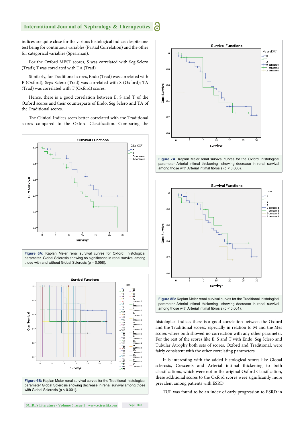indices are quite close for the various histological indices despite one test being for continuous variables (Partial Correlation) and the other for categorical variables (Spearman).

For the Oxford MEST scores, S was correlated with Seg Sclero (Trad); T was correlated with TA (Trad)

Similarly, for Traditional scores, Endo (Trad) was correlated with E (Oxford); Segs Sclero (Trad) was correlated with S (Oxford); TA (Trad) was correlated with T (Oxford) scores.

Hence, there is a good correlation between E, S and T of the Oxford scores and their counterparts of Endo, Seg Sclero and TA of the Traditional scores.

The Clinical Indices seem better correlated with the Traditional scores compared to the Oxford Classification. Comparing the



**Figure 6A:** Kaplan Meier renal survival curves for Oxford histological parameter Global Sclerosis showing no significance in renal survival among those with and without Global Sclerosis ( $p = 0.058$ ).



with Global Sclerosis (p < 0.001).







histological indices there is a good correlation between the Oxford and the Traditional scores, especially in relation to M and the Mes scores where both showed no correlation with any other parameter. For the rest of the scores like E, S and T with Endo, Seg Sclero and Tubular Atrophy both sets of scores, Oxford and Traditional, were fairly consistent with the other correlating parameters.

It is interesting with the added histological scores like Global sclerosis, Crescents and Arterial intimal thickening to both classifications, which were not in the original Oxford Classification, these additional scores to the Oxford scores were significantly more prevalent among patients with ESRD.

TUP was found to be an index of early progression to ESRD in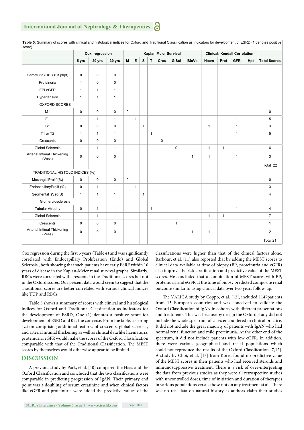| score).                               | Cox regression |              |              | Kaplan Meier Survival |              |              |              |              |              |              | <b>Clinical: Kendall Correlation</b> |              |              |     |                     |
|---------------------------------------|----------------|--------------|--------------|-----------------------|--------------|--------------|--------------|--------------|--------------|--------------|--------------------------------------|--------------|--------------|-----|---------------------|
|                                       | 5 yrs          | 20 yrs       | 30 yrs       | M                     | E            | s            | T            | <b>Cres</b>  | GIScl        | <b>BloVe</b> | Haem                                 | Prot         | <b>GFR</b>   | Hpt | <b>Total Scores</b> |
|                                       |                |              |              |                       |              |              |              |              |              |              |                                      |              |              |     |                     |
| Hematuria (RBC > 3 phpf)              | $\mathbf 0$    | $\mathbf 0$  | $\mathbf 0$  |                       |              |              |              |              |              |              |                                      |              |              |     |                     |
| Proteinuria                           | $\mathbf{1}$   | $\mathbf 0$  | $\mathsf 0$  |                       |              |              |              |              |              |              |                                      |              |              |     |                     |
| EPI eGFR                              | $\mathbf{1}$   | $\mathbf{1}$ | $\mathbf{1}$ |                       |              |              |              |              |              |              |                                      |              |              |     |                     |
| Hypertension                          | $\mathbf{1}$   | $\mathbf{1}$ | $\mathbf{1}$ |                       |              |              |              |              |              |              |                                      |              |              |     |                     |
| OXFORD SCORES                         |                |              |              |                       |              |              |              |              |              |              |                                      |              |              |     |                     |
| M1                                    | $\mathsf 0$    | $\mathbf 0$  | $\mathbf 0$  | $\mathbf 0$           |              |              |              |              |              |              |                                      |              |              |     | $\pmb{0}$           |
| E1                                    | $\mathbf{1}$   | $\mathbf{1}$ | $\mathbf{1}$ |                       | $\mathbf{1}$ |              |              |              |              |              |                                      |              | $\mathbf{1}$ |     | 5                   |
| S <sub>1</sub>                        | $\mathbf 0$    | $\mathbf 0$  | $\mathbf 0$  |                       |              | $\mathbf{1}$ |              |              |              |              | $\mathbf{1}$                         |              | $\mathbf{1}$ |     | 3                   |
| T1 or T2                              | $\mathbf{1}$   | $\mathbf{1}$ | $\mathbf{1}$ |                       |              |              | $\mathbf{1}$ |              |              |              |                                      |              | $\mathbf{1}$ |     | 5                   |
| Crescents                             | $\mathbf 0$    | $\mathbf 0$  | $\mathbf 0$  |                       |              |              |              | $\pmb{0}$    |              |              |                                      |              |              |     |                     |
| <b>Global Sclerosis</b>               | $\mathbf{1}$   | $\mathbf{1}$ | $\mathbf{1}$ |                       |              |              |              |              | $\mathbf 0$  |              | $\mathbf{1}$                         | $\mathbf{1}$ | $\mathbf{1}$ |     | $6\phantom{1}$      |
| Arterial Intimal Thickening<br>(Vess) | $\mathbf 0$    | $\mathbf 0$  | $\mathbf 0$  |                       |              |              |              |              |              | $\mathbf{1}$ | $\mathbf{1}$                         |              | $\mathbf{1}$ |     | 3                   |
|                                       |                |              |              |                       |              |              |              |              |              |              |                                      |              |              |     | Total 22            |
| TRADITIONAL HISTOLO INDICES (%)       |                |              |              |                       |              |              |              |              |              |              |                                      |              |              |     |                     |
| MesangialProlif (%)                   | $\pmb{0}$      | $\mathbf 0$  | $\pmb{0}$    | $\mathsf 0$           |              |              |              |              |              |              |                                      |              |              |     | $\pmb{0}$           |
| EndocapillaryProlif (%)               | $\mathbf 0$    | $\mathbf{1}$ | $\mathbf{1}$ |                       | $\mathbf{1}$ |              |              |              |              |              |                                      |              |              |     | 3                   |
| Segmental (Seg S)                     | $\mathbf{1}$   | $\mathbf{1}$ | $\mathbf{1}$ |                       |              | $\mathbf{1}$ |              |              |              |              |                                      |              |              |     | $\overline{4}$      |
| Glomerulosclerosis                    |                |              |              |                       |              |              |              |              |              |              |                                      |              |              |     |                     |
| <b>Tubular Atrophy</b>                | $\mathbf 0$    | $\mathbf{1}$ | $\mathbf{1}$ |                       |              |              | $\mathbf{1}$ |              |              |              |                                      |              | $\mathbf{1}$ |     | $\overline{4}$      |
| <b>Global Sclerosis</b>               | $\mathbf{1}$   | $\mathbf{1}$ | $\mathbf{1}$ |                       |              |              |              | $\mathbf{1}$ |              |              | $\mathbf{1}$                         | $\mathbf{1}$ | $\mathbf{1}$ |     | $\overline{7}$      |
| Crescents                             | $\mathbf 0$    | $\mathbf 0$  | $\mathbf 0$  |                       |              |              |              |              | $\mathbf{1}$ |              |                                      |              |              |     | $\mathbf{1}$        |
| Arterial Intimal Thickening<br>(Vess) | $\mathbf 0$    | $\mathbf 0$  | $\mathbf 0$  |                       |              |              |              |              |              | $\mathbf{1}$ | $\mathbf{1}$                         |              |              |     | $\overline{2}$      |
|                                       |                |              |              |                       |              |              |              |              |              |              |                                      |              |              |     | Total 21            |

Table 5: Summary of scores with clinical and histological indices for Oxford and Traditional Classification as indicators for development of ESRD (1 denotes positive score**).**

Cox regression during the first 5 years (Table 4) and was significantly correlated with Endocapillary Proliferation (Endo) and Global Sclerosis., both showing that such patients have early ESRF within 10 years of disease in the Kaplan-Meier renal survival graphs. Similarly, RBCs were correlated with crescents in the Traditional scores but not in the Oxford scores. Our present data would seem to suggest that the Traditional scores are better correlated with various clinical indices like TUP and RBCs.

Table 5 shows a summary of scores with clinical and histological indices for Oxford and Traditional Classification as indicators for the development of ESRD, One (1) denotes a positive score for development of ESRD and 0 is the converse. From the table, a scoring system comprising additional features of crescents, global sclerosis, and arterial intimal thickening as well as clinical data like haematuria, proteinuria, eGFR would make the scores of the Oxford Classification comparable with that of the Traditional Classification. The MEST scores by themselves would otherwise appear to be limited.

#### **DISCUSSION**

A previous study by Park, et al. [10] compared the Haas and the Oxford Classification and concluded that the two classifications were comparable in predicting progression of IgAN. Their primary end point was a doubling of serum creatinine and when clinical factors like eGFR and proteinuria were added the predictive values of the classifications were higher than that of the clinical factors alone. Barbour, et al. [11] also reported that by adding the MEST scores to clinical data available at time of biopsy (BP, proteinuria and eGFR) also improve the risk stratification and predictive value of the MEST scores. He concluded that a combination of MEST scores with BP, proteinuria and eGFR at the time of biopsy predicted composite renal outcome similar to using clinical data over two years follow-up.

The VALIGA study by Coppo, et al. [12], included 1147patients from 13 European countries and was conceived to validate the Oxford Classification of IgAN in cohorts with different presentations and treatments. This was because by design the Oxford study did not include the whole spectrum of cases encountered in clinical practice. It did not include the great majority of patients with IgAN who had normal renal function and mild proteinuria. At the other end of the spectrum, it did not include patients with low eGFR. In addition, there were various geographical and racial populations which could not reproduce the results of the Oxford Classification [7,12]. A study by Choi, et al. [13] from Korea found no predictive value of the MEST scores in their patients who had received steroids and immunosuppressive treatment. There is a risk of over-interpreting the data from previous studies as they were all retrospective studies with uncontrolled doses, time of initiation and duration of therapies in various populations versus those not on any treatment at all. There was no real data on natural history as authors claim their studies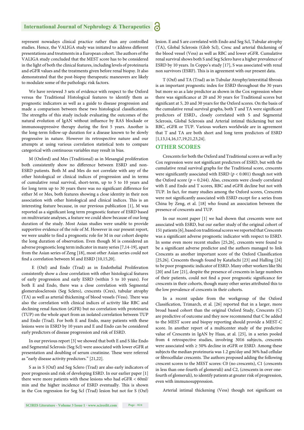represent nowadays clinical practice rather than any controlled studies. Hence, the VALIGA study was initiated to address different presentations and treatments in a European cohort. The authors of the VALIGA study concluded that the MEST score has to be considered in the light of both the clinical features, including levels of proteinuria and eGFR values and the treatments given before renal biopsy. It also demonstrated that the post-biopsy therapeutic maneuvers are likely to modulate some of the pathologic risk factors.

We have reviewed 3 sets of evidence with respect to the Oxford versus the Traditional Histological features to identify them as prognostic indicators as well as a guide to disease progression and made a comparison between these two histological classifications. The strengths of this study include evaluating the outcomes of the natural evolution of IgAN without influence by RAS blockade or immunosuppressive therapy during the first 5 years. Another is the long-term follow-up duration for a disease known to be slowly progressive in nature. However its retrospective nature and our attempts at using various correlation statistical tests to compare categorical with continuous variables may result in bias.

M (Oxford) and Mes (Traditional) as in Mesangial proliferation both consistently show no difference between ESRD and non-ESRD patients. Both M and Mes do not correlate with any of the other histological or clinical indices of progression and in terms of cumulative renal survival, short-term, up to 5 to 10 years and for long term up to 30 years there was no significant difference for either M or Mes, both features showing a close identity in their non association with other histological and clinical indices. This is an interesting feature because, in our previous publication [1], M was reported as a significant long term prognostic feature of ESRD based on multivariate analyses, a feature we could show because of our long duration of the study. Most Asian studies were unable to provide supportive evidence of the role of M. However in our present report, we were unable to find a prognostic role for M in our cohort despite the long duration of observation. Even though M is considered an adverse prognostic long term indicator in many series [7,14-19], apart from the Asian series of Zeng [18], most other Asian series could not find a correlation between M and ESRD  $[10,15,20]$ .

 E (Oxf) and Endo (Trad) as in Endothelial Proliferation consistently show a close correlation with other histological features of early progression and early ESRD (within 5 to 10 years). For both E and Endo, there was a close correlation with Segmental glomerulosclerosis (Seg Sclero), crescents (Cres), tubular atrophy (TA) as well as arterial thickening of blood vessels (Vess). There was also the correlation with clinical indices of activity like RBC and declining renal function (eGFR) but no correlation with proteinuria (TUP) on the whole apart from an isolated correlation between TUP and Endo (Trad). For both E and Endo, many patients with these lesions were in ESRD by 10 years and E and Endo can be considered early predictors of disease progression and risk of ESRD.

In our previous report [3] we showed that both E and S like Endo and Segmental Sclerosis (Seg Scl) were associated with lower eGFR at presentation and doubling of serum creatinine. These were referred as "early disease activity predictors." [21,22].

S as in S (Oxf) and Seg Sclero (Trad) are also early indicators of poor prognosis and risk of developing ESRD. In our earlier paper [1] there were more patients with these lesions who had eGFR < 60ml/ min and the higher incidence of ESRD eventually. This is shown in the Cox regression for Seg Scl (Trad) lesion but not for S (Oxf) lesion. E and S are correlated with Endo and Seg Scl, Tubular atrophy (TA), Global Sclerosis (Glob Scl), Cresc and arterial thickening of the blood vessel (Vess) as well as RBC and lower eGFR. Cumulative renal survival shows both S and Seg Sclero have a higher prevalence of ESRD by 10 years. In Coppo's study [17], S was associated with renal non survivors (ESRF). This is in agreement with our present data.

T (Oxf) and TA (Trad) as in Tubular Atrophy/interstitial fibrosis is an important prognostic index for ESRD throughout the 30 years but more so as a late predictor as shown in the Cox regression where there was significance at 20 and 30 years for Traditional scores but significant at 5, 20 and 30 years for the Oxford scores. On the basis of the cumulative renal survival graphs, both T and TA were significant predictors of ESRD., closely correlated with S and Segmental Sclerosis, Global Sclerosis and Arterial intimal thickening but not RBC, eGFR or TUP. Various workers worldwide are in agreement that T and TA are both short and long term predictors of ESRD [1,13,14,16,17,19,21,23,24].

#### **OTHER SCORES**

Crescents for both the Oxford and Traditional scores as well as by Cox regression were not significant predictors of ESRD, but with the cumulative renal survival graphs for the Traditional score, crescents were significantly associated with ESRD ( $p < 0.001$ ) though not with the Oxford score ( $p = 0.244$ ). Also, crescents were closely correlated with E and Endo and T scores, RBC and eGFR decline but not with TUP. In fact, for many studies among the Oxford scores, Crescents were not significantly associated with ESRD except for a series from China by Zeng, et al. [18] who found an association between the presence of crescents and TUP.

In our recent paper [1] we had shown that crescents were not associated with ESRD, but our earlier study of the original cohort of 151 patients [6], based on traditional scores we reported that Crescents was a significant adverse prognostic indicator with respect to ESRD. In some even more recent studies [25,26], crescents were found to be a significant adverse predictor and the authors managed to link Crescents as another important score of the Oxford Classification [25,26]. Crescents though found by Katafuchi [23] and Halling [24] to be poor prognostic indicator of ESRD. Many other workers like Shi [20] and Lee [21], despite the presence of crescents in large numbers of their patients, could not find a poor prognostic significance for crescents in their cohorts, though many other series attributed this to the low prevalence of crescents in their cohorts.

In a recent update from the workgroup of the Oxford Classification, Trimarch, et al. [26] reported that in a larger, more broad based cohort than the original Oxford Study, Crescents (C) are predictive of outcome and they now recommend that C be added to the MEST score and biopsy reporting should provide a MEST-C score. In another report of a multicenter study of the predictive value of Crescents in IgAN by Haas, at al. [25], in a series pooled from 4 retrospective studies, involving 3016 subjects, crescents were associated with  $\geq 50\%$  decline in eGFR or ESRD. Among these subjects the median proteinuria was 1.2 gm/day and 36% had cellular or fibrocellular crescents. The authors proposed adding the following crescent scores to the MEST scores: C0 (no crescents), C1 (crescents in less than one-fourth of glomeruli) and C2, (crescents in over onefourth of glomeruli), to identify patients at greater risk of progression, even with immunosuppression.

Arterial intimal thickening (Vess) though not significant on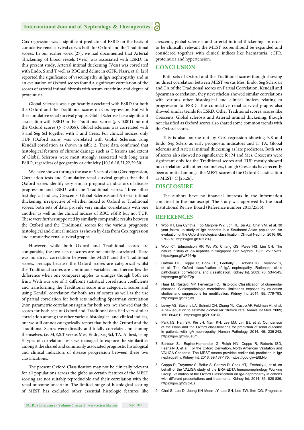Cox regression was a significant predictor of ESRD on the basis of cumulative renal survival curves both for Oxford and the Traditional scores. In our earlier work [27], we had documented that Arterial Thickening of blood vessels (Vess) was associated with ESRD. In this present study, Arterial intimal thickening (Vess) was correlated with Endo, S and T well as RBC and deline in eGFR. Nasri, et al. [28] reported the significance of vasculopathy in IgA nephropathy and in an evaluation of Oxford scores found a significant correlation of the scores of arterial intimal fibrosis with serum creatinine and degree of proteinuria.

Global Sclerosis was significantly associated with ESRD for both the Oxford and the Traditional scores on Cox regression. But with the cumulative renal survival graphs, Global Sclerosis has a significant association with ESRD in the Traditional scores (*p* < 0.001) but not the Oxford scores ( $p < 0.058$ ). Global sclerosis was correlated with S and Seg Scl together with T and Cresc. For clinical indices, only TUP (Oxford score) was correlated with Global Sclerosis using Kendall correlation as shown in table 2. These data confirmed that histological features of chronic damage such as T lesions and extent of Global Sclerosis were most strongly associated with long term ESRD, regardless of geography or ethnicity [10,16-18,21,22,29,30].

We have shown through the use of 3 sets of data (Cox regression, Correlation tests and Cumulative renal survival graphs) that the 4 Oxford scores identify very similar prognostic indicators of disease progression and ESRD with the Traditional scores. Three other histological indices, Crescents, Global Sclerosis and Arterial intimal thickening, irrespective of whether linked to Oxford or Traditional scores, both sets of data, provide very similar correlations with one another as well as the clinical indices of RBC, eGFR but not TUP. These were further supported by similarly comparable results between the Oxford and the Traditional scores for the various prognostic histological and clinical indices as shown by data from Cox regression and cumulative renal survival graphs.

However, while both Oxford and Traditional scores are comparable, the two sets of scores are not totally correlated. There was no direct correlation between the MEST and the Traditional scores, perhaps because the Oxford scores are categorical whilst the Traditional scores are continuous variables and therein lies the difference when one compares apples to oranges though both are fruit. With our use of 3 different statistical correlation coefficients and transforming the Traditional score into categorical scores and using Kendall correlation for both sets of scores as well as the use of partial correlation for both sets including Spearman correlation (non parametric correlation) again for both sets, we showed that the scores for both sets of Oxford and Traditional data had very similar correlation among the other various histological and clinical indices, but we still cannot categorically report that both the Oxford and the Traditional Scores were directly and totally correlated, not among themselves, i.e. M,E,S.T versus Mes, Endo, Seg Scl, TA. At best, using 3 types of correlation tests we managed to explore the similarities amongst the shared and commonly associated prognostic histological and clinical indicators of disease progression between these two classifications.

The present Oxford Classification may not be clinically relevant for all populations across the globe as certain features of the MEST scoring are not suitably reproducible and their correlation with the renal outcome uncertain. The limited range of histological scoring of MEST has excluded other essential histologic features like crescents, global sclerosis and arterial intimal thickening. In order to be clinically relevant the MEST scores should be expanded and considered together with clinical indices like haematuria, eGFR, proteinuria and hypertension.

#### **CONCLUSION**

Both sets of Oxford and the Traditional scores though showing no direct correlation between MEST versus Mes, Endo, Seg Sclerosis and TA of the Traditional scores on Partial Correlation, Kendall and Spearman correlation, they nevertheless showed similar correlations with various other histological and clinical indices relating to progression to ESRD. The cumulative renal survival graphs also showed similar trends for ESRD. Other Traditional scores, scores like Crescents, Global sclerosis and Arterial intimal thickening, though not classified as Oxford scores also shared some common trends with the Oxford scores.

This is also bourne out by Cox regression showing E,S and Endo, Seg Sclero as early prognostic indicators and T, TA, Global sclerosis and Arterial intimal thickening as late predictors. Both sets of scores also showed no significance for M and Mes. Crescents were significant only for the Traditional scores and TUP mostly showed no correlation with other parameters, though Crescents have recently been admitted amongst the MEST scores of the Oxford Classification as MEST- C [25,26].

#### **DISCLOSURE**

The authors have no financial interests in the information contained in the manuscript. The study was approved by the local Institutional Review Board (Reference number 2015/2556).

#### **REFERENCES**

- 1. Woo KT, Lim Cynthia, Foo Marjorie WY, Loh HL, Jin AZ, Chin YM, et al. 30 year follow up study of IgA nephritis in a Southeast Asian population. An evaluation of the Oxford histological classification. Clinical Nephrol. 2016; 86: 270-278. https://goo.gl/9UtC1Q
- 2. Woo KT, Edmondson RP, Wu AY, Chiang GS, Pwee HS, Lim CH. The natural history of IgA nephritis in Singapore. Clin Nephrol. 1986; 25: 15-21. https://goo.gl/wF26Hp
- 3. Cattran DC, Coppo R, Cook HT, Feehally J, Roberts IS, Troyanov S, et al. The Oxford classification of IgA nephropathy. Rationale, clinic pathological correlations, and classification. Kidney Int. 2009; 76: 534-545. https://goo.gl/92IF2p
- 4. Haas M, Rastaldi MP, Fervenza FC. Histologic Classification of glomerular diseases. Clinicopathologic correlations, limitations exposed by validation studies and suggestions for modification. Kidney Int. 2014; 85: 779-793. https://goo.gl/PYgjmL
- 5. Levey AS, Stevens LA, Schmid CH, Zhang YL, Castro AF, Feldman HI, et al. A new equation to estimate glomerular filtration rate. Annals Int Med. 2009; 150: 604-612. https://goo.gl/ZHXu1Q
- 6. Park kS, Han SH, Kie JH, Nam KH, Lee MJ, Lim BJ, et al. Comparison of the Haas and the Oxford classifications for prediction of renal outcome in patients with IgA nephropathy. Human Pathology. 2014; 45: 236-243. https://goo.gl/mG8aLm
- 7. Barbour SJ, Espino-Hernandez G, Reich HN, Coppo R, Roberts ISD, Feehally J, et al. For the Oxford Derivation, North American Validation and VALIGA Consortia. The MEST scores provides earlier risk prediction in IgA nephropathy. Kidney Int. 2016; 89:167-175. https://goo.gl/wE8LNb
- 8. Coppo R, Troyanov S, Bellur S, Cattran D, Cook HT, Feehally J, et al. on behalf of the VALIGA study of the ERA-EDTA Immunonephrology Working Group. Validation of the Oxford Classification on IgA nephropathy in cohorts with different presentations and treatments. Kidney Int. 2014; 86: 828-836. https://goo.gl/2GpxEz
- 9. Choi S, Lee D, Jeong KH Moon JY, Lee SH, Lee TW, Ihm CG. Prognostic